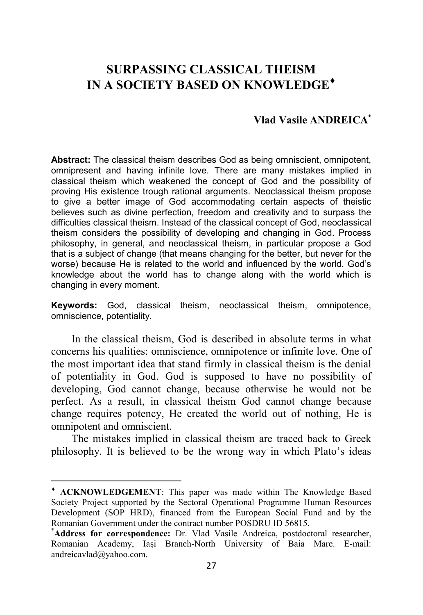## **SURPASSING CLASSICAL THEISM IN A SOCIETY BASED ON KNOWLEDGE**♦

## **Vlad Vasile ANDREICA**\*

**Abstract:** The classical theism describes God as being omniscient, omnipotent, omnipresent and having infinite love. There are many mistakes implied in classical theism which weakened the concept of God and the possibility of proving His existence trough rational arguments. Neoclassical theism propose to give a better image of God accommodating certain aspects of theistic believes such as divine perfection, freedom and creativity and to surpass the difficulties classical theism. Instead of the classical concept of God, neoclassical theism considers the possibility of developing and changing in God. Process philosophy, in general, and neoclassical theism, in particular propose a God that is a subject of change (that means changing for the better, but never for the worse) because He is related to the world and influenced by the world. God's knowledge about the world has to change along with the world which is changing in every moment.

**Keywords:** God, classical theism, neoclassical theism, omnipotence, omniscience, potentiality.

In the classical theism, God is described in absolute terms in what concerns his qualities: omniscience, omnipotence or infinite love. One of the most important idea that stand firmly in classical theism is the denial of potentiality in God. God is supposed to have no possibility of developing, God cannot change, because otherwise he would not be perfect. As a result, in classical theism God cannot change because change requires potency, He created the world out of nothing, He is omnipotent and omniscient.

The mistakes implied in classical theism are traced back to Greek philosophy. It is believed to be the wrong way in which Plato's ideas

**<sup>\*</sup> ACKNOWLEDGEMENT:** This paper was made within The Knowledge Based Society Project supported by the Sectoral Operational Programme Human Resources Development (SOP HRD), financed from the European Social Fund and by the Romanian Government under the contract number POSDRU ID 56815.

<sup>\*</sup>**Address for correspondence:** Dr. Vlad Vasile Andreica, postdoctoral researcher, Romanian Academy, Iaşi Branch-North University of Baia Mare. E-mail: andreicavlad@yahoo.com.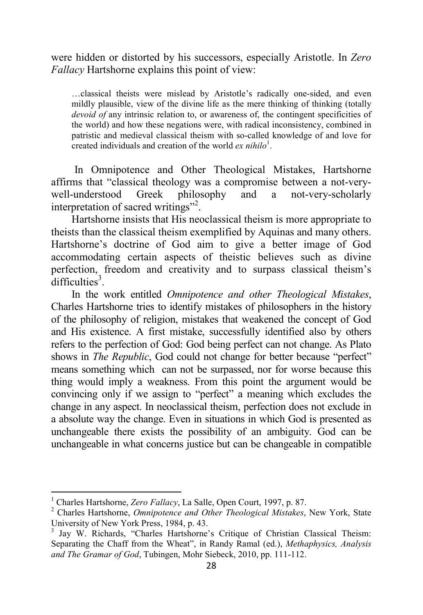were hidden or distorted by his successors, especially Aristotle. In *Zero Fallacy* Hartshorne explains this point of view:

…classical theists were mislead by Aristotle's radically one-sided, and even mildly plausible, view of the divine life as the mere thinking of thinking (totally *devoid of* any intrinsic relation to, or awareness of, the contingent specificities of the world) and how these negations were, with radical inconsistency, combined in patristic and medieval classical theism with so-called knowledge of and love for created individuals and creation of the world *ex nihilo*<sup>1</sup>.

 In Omnipotence and Other Theological Mistakes, Hartshorne affirms that "classical theology was a compromise between a not-verywell-understood Greek philosophy and a not-very-scholarly interpretation of sacred writings"<sup>2</sup>.

Hartshorne insists that His neoclassical theism is more appropriate to theists than the classical theism exemplified by Aquinas and many others. Hartshorne's doctrine of God aim to give a better image of God accommodating certain aspects of theistic believes such as divine perfection, freedom and creativity and to surpass classical theism's  $difficulties<sup>3</sup>$ .

In the work entitled *Omnipotence and other Theological Mistakes*, Charles Hartshorne tries to identify mistakes of philosophers in the history of the philosophy of religion, mistakes that weakened the concept of God and His existence. A first mistake, successfully identified also by others refers to the perfection of God: God being perfect can not change. As Plato shows in *The Republic*, God could not change for better because "perfect" means something which can not be surpassed, nor for worse because this thing would imply a weakness. From this point the argument would be convincing only if we assign to "perfect" a meaning which excludes the change in any aspect. In neoclassical theism, perfection does not exclude in a absolute way the change. Even in situations in which God is presented as unchangeable there exists the possibility of an ambiguity. God can be unchangeable in what concerns justice but can be changeable in compatible

 $\overline{\phantom{0}}$ 

<sup>1</sup> Charles Hartshorne, *Zero Fallacy*, La Salle, Open Court, 1997, p. 87.

<sup>2</sup> Charles Hartshorne, *Omnipotence and Other Theological Mistakes*, New York, State University of New York Press, 1984, p. 43.

<sup>3</sup> Jay W. Richards, "Charles Hartshorne's Critique of Christian Classical Theism: Separating the Chaff from the Wheat", in Randy Ramal (ed.), *Methaphysics, Analysis and The Gramar of God*, Tubingen, Mohr Siebeck, 2010, pp. 111-112.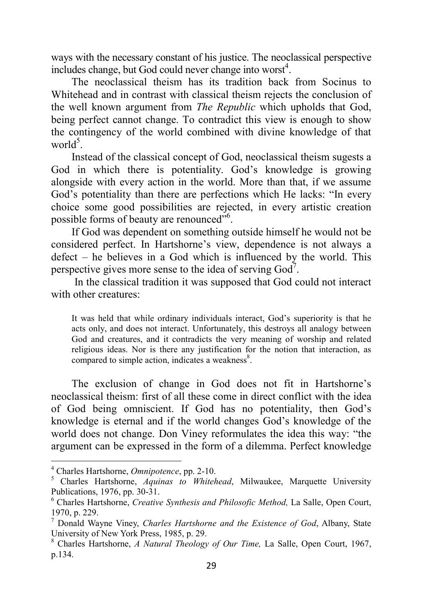ways with the necessary constant of his justice. The neoclassical perspective includes change, but God could never change into worst<sup>4</sup>.

The neoclassical theism has its tradition back from Socinus to Whitehead and in contrast with classical theism rejects the conclusion of the well known argument from *The Republic* which upholds that God, being perfect cannot change. To contradict this view is enough to show the contingency of the world combined with divine knowledge of that world<sup>5</sup>.

Instead of the classical concept of God, neoclassical theism sugests a God in which there is potentiality. God's knowledge is growing alongside with every action in the world. More than that, if we assume God's potentiality than there are perfections which He lacks: "In every choice some good possibilities are rejected, in every artistic creation possible forms of beauty are renounced"<sup>6</sup>.

If God was dependent on something outside himself he would not be considered perfect. In Hartshorne's view, dependence is not always a defect – he believes in a God which is influenced by the world. This perspective gives more sense to the idea of serving  $God<sup>7</sup>$ .

 In the classical tradition it was supposed that God could not interact with other creatures:

It was held that while ordinary individuals interact, God's superiority is that he acts only, and does not interact. Unfortunately, this destroys all analogy between God and creatures, and it contradicts the very meaning of worship and related religious ideas. Nor is there any justification for the notion that interaction, as compared to simple action, indicates a weakness<sup>8</sup>.

The exclusion of change in God does not fit in Hartshorne's neoclassical theism: first of all these come in direct conflict with the idea of God being omniscient. If God has no potentiality, then God's knowledge is eternal and if the world changes God's knowledge of the world does not change. Don Viney reformulates the idea this way: "the argument can be expressed in the form of a dilemma. Perfect knowledge

<sup>4</sup> Charles Hartshorne, *Omnipotence*, pp. 2-10.

<sup>&</sup>lt;sup>5</sup> Charles Hartshorne, *Aquinas to Whitehead*, Milwaukee, Marquette University Publications, 1976, pp. 30-31.

<sup>6</sup> Charles Hartshorne, *Creative Synthesis and Philosofic Method,* La Salle, Open Court, 1970, p. 229.

<sup>7</sup> Donald Wayne Viney, *Charles Hartshorne and the Existence of God*, Albany, State University of New York Press, 1985, p. 29.

<sup>8</sup> Charles Hartshorne, *A Natural Theology of Our Time,* La Salle, Open Court, 1967, p.134.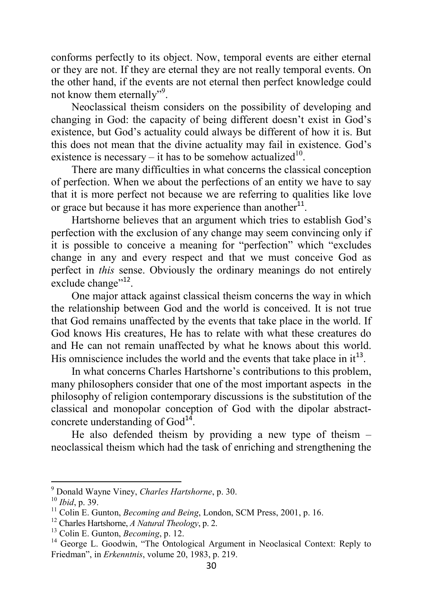conforms perfectly to its object. Now, temporal events are either eternal or they are not. If they are eternal they are not really temporal events. On the other hand, if the events are not eternal then perfect knowledge could not know them eternally".

Neoclassical theism considers on the possibility of developing and changing in God: the capacity of being different doesn't exist in God's existence, but God's actuality could always be different of how it is. But this does not mean that the divine actuality may fail in existence. God's existence is necessary – it has to be somehow actualized<sup>10</sup>.

There are many difficulties in what concerns the classical conception of perfection. When we about the perfections of an entity we have to say that it is more perfect not because we are referring to qualities like love or grace but because it has more experience than another $^{11}$ .

Hartshorne believes that an argument which tries to establish God's perfection with the exclusion of any change may seem convincing only if it is possible to conceive a meaning for "perfection" which "excludes change in any and every respect and that we must conceive God as perfect in *this* sense. Obviously the ordinary meanings do not entirely exclude change"<sup>12</sup>.

One major attack against classical theism concerns the way in which the relationship between God and the world is conceived. It is not true that God remains unaffected by the events that take place in the world. If God knows His creatures, He has to relate with what these creatures do and He can not remain unaffected by what he knows about this world. His omniscience includes the world and the events that take place in  $it^{13}$ .

In what concerns Charles Hartshorne's contributions to this problem, many philosophers consider that one of the most important aspects in the philosophy of religion contemporary discussions is the substitution of the classical and monopolar conception of God with the dipolar abstractconcrete understanding of  $God<sup>14</sup>$ .

He also defended theism by providing a new type of theism – neoclassical theism which had the task of enriching and strengthening the

<sup>9</sup> Donald Wayne Viney, *Charles Hartshorne*, p. 30.

<sup>10</sup> *Ibid*, p. 39.

<sup>11</sup> Colin E. Gunton, *Becoming and Being*, London, SCM Press, 2001, p. 16.

<sup>12</sup> Charles Hartshorne, *A Natural Theology*, p. 2.

<sup>13</sup> Colin E. Gunton, *Becoming*, p. 12.

<sup>&</sup>lt;sup>14</sup> George L. Goodwin, "The Ontological Argument in Neoclasical Context: Reply to Friedman", in *Erkenntnis*, volume 20, 1983, p. 219.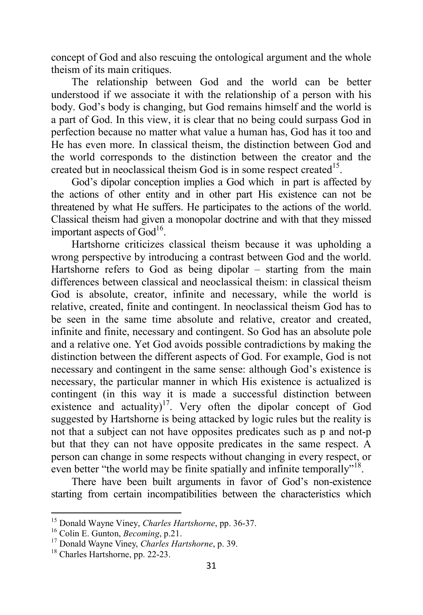concept of God and also rescuing the ontological argument and the whole theism of its main critiques.

The relationship between God and the world can be better understood if we associate it with the relationship of a person with his body. God's body is changing, but God remains himself and the world is a part of God. In this view, it is clear that no being could surpass God in perfection because no matter what value a human has, God has it too and He has even more. In classical theism, the distinction between God and the world corresponds to the distinction between the creator and the created but in neoclassical theism God is in some respect created<sup>15</sup>.

God's dipolar conception implies a God which in part is affected by the actions of other entity and in other part His existence can not be threatened by what He suffers. He participates to the actions of the world. Classical theism had given a monopolar doctrine and with that they missed important aspects of  $God<sup>16</sup>$ .

Hartshorne criticizes classical theism because it was upholding a wrong perspective by introducing a contrast between God and the world. Hartshorne refers to God as being dipolar – starting from the main differences between classical and neoclassical theism: in classical theism God is absolute, creator, infinite and necessary, while the world is relative, created, finite and contingent. In neoclassical theism God has to be seen in the same time absolute and relative, creator and created, infinite and finite, necessary and contingent. So God has an absolute pole and a relative one. Yet God avoids possible contradictions by making the distinction between the different aspects of God. For example, God is not necessary and contingent in the same sense: although God's existence is necessary, the particular manner in which His existence is actualized is contingent (in this way it is made a successful distinction between existence and actuality)<sup>17</sup>. Very often the dipolar concept of God suggested by Hartshorne is being attacked by logic rules but the reality is not that a subject can not have opposites predicates such as p and not-p but that they can not have opposite predicates in the same respect. A person can change in some respects without changing in every respect, or even better "the world may be finite spatially and infinite temporally"<sup>18</sup>.

There have been built arguments in favor of God's non-existence starting from certain incompatibilities between the characteristics which

<sup>15</sup> Donald Wayne Viney, *Charles Hartshorne*, pp. 36-37.

<sup>16</sup> Colin E. Gunton, *Becoming*, p.21.

<sup>17</sup> Donald Wayne Viney, *Charles Hartshorne*, p. 39.

<sup>&</sup>lt;sup>18</sup> Charles Hartshorne, pp. 22-23.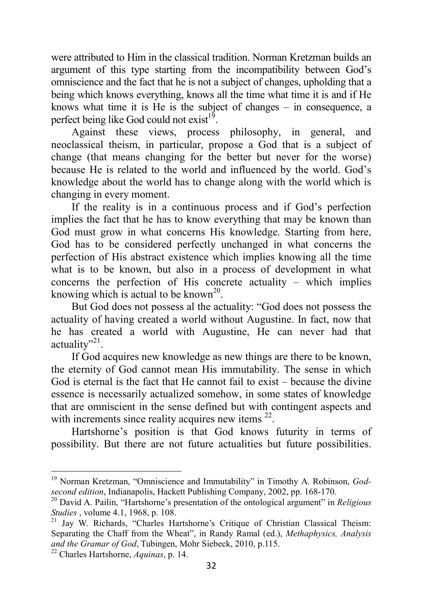were attributed to Him in the classical tradition. Norman Kretzman builds an argument of this type starting from the incompatibility between God's omniscience and the fact that he is not a subject of changes, upholding that a being which knows everything, knows all the time what time it is and if He knows what time it is He is the subject of changes – in consequence, a perfect being like God could not exist<sup>19</sup>.

Against these views, process philosophy, in general, and neoclassical theism, in particular, propose a God that is a subject of change (that means changing for the better but never for the worse) because He is related to the world and influenced by the world. God's knowledge about the world has to change along with the world which is changing in every moment.

If the reality is in a continuous process and if God's perfection implies the fact that he has to know everything that may be known than God must grow in what concerns His knowledge. Starting from here, God has to be considered perfectly unchanged in what concerns the perfection of His abstract existence which implies knowing all the time what is to be known, but also in a process of development in what concerns the perfection of His concrete actuality – which implies knowing which is actual to be known<sup>20</sup>.

But God does not possess al the actuality: "God does not possess the actuality of having created a world without Augustine. In fact, now that he has created a world with Augustine, He can never had that actuality"<sup>21</sup>.

If God acquires new knowledge as new things are there to be known, the eternity of God cannot mean His immutability. The sense in which God is eternal is the fact that He cannot fail to exist – because the divine essence is necessarily actualized somehow, in some states of knowledge that are omniscient in the sense defined but with contingent aspects and with increments since reality acquires new items  $22$ .

Hartshorne's position is that God knows futurity in terms of possibility. But there are not future actualities but future possibilities.

 $\overline{a}$ 

<sup>19</sup> Norman Kretzman, "Omniscience and Immutability" in Timothy A. Robinson, *Godsecond edition*, Indianapolis, Hackett Publishing Company, 2002, pp. 168-170.

<sup>20</sup> David A. Pailin, "Hartshorne's presentation of the ontological argument" in *Religious Studies* , volume 4.1, 1968, p. 108.

<sup>21</sup> Jay W. Richards, "Charles Hartshorne's Critique of Christian Classical Theism: Separating the Chaff from the Wheat", in Randy Ramal (ed.), *Methaphysics, Analysis and the Gramar of God*, Tubingen, Mohr Siebeck, 2010, p.115.

<sup>22</sup> Charles Hartshorne, *Aquinas*, p. 14.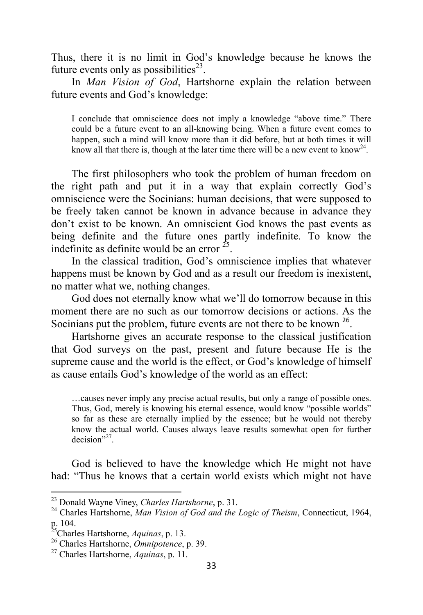Thus, there it is no limit in God's knowledge because he knows the future events only as possibilities<sup>23</sup>.

In *Man Vision of God*, Hartshorne explain the relation between future events and God's knowledge:

I conclude that omniscience does not imply a knowledge "above time." There could be a future event to an all-knowing being. When a future event comes to happen, such a mind will know more than it did before, but at both times it will know all that there is, though at the later time there will be a new event to know<sup>24</sup>.

The first philosophers who took the problem of human freedom on the right path and put it in a way that explain correctly God's omniscience were the Socinians: human decisions, that were supposed to be freely taken cannot be known in advance because in advance they don't exist to be known. An omniscient God knows the past events as being definite and the future ones partly indefinite. To know the indefinite as definite would be an error  $^{25}$ .

In the classical tradition, God's omniscience implies that whatever happens must be known by God and as a result our freedom is inexistent, no matter what we, nothing changes.

God does not eternally know what we'll do tomorrow because in this moment there are no such as our tomorrow decisions or actions. As the Socinians put the problem, future events are not there to be known <sup>26</sup>.

Hartshorne gives an accurate response to the classical justification that God surveys on the past, present and future because He is the supreme cause and the world is the effect, or God's knowledge of himself as cause entails God's knowledge of the world as an effect:

…causes never imply any precise actual results, but only a range of possible ones. Thus, God, merely is knowing his eternal essence, would know "possible worlds" so far as these are eternally implied by the essence; but he would not thereby know the actual world. Causes always leave results somewhat open for further  $decision$ <sup>27</sup>.

God is believed to have the knowledge which He might not have had: "Thus he knows that a certain world exists which might not have

 $\overline{\phantom{0}}$ 

<sup>23</sup> Donald Wayne Viney, *Charles Hartshorne*, p. 31.

<sup>24</sup> Charles Hartshorne, *Man Vision of God and the Logic of Theism*, Connecticut, 1964, p. 104.

<sup>25</sup>Charles Hartshorne, *Aquinas*, p. 13.

<sup>26</sup> Charles Hartshorne, *Omnipotence*, p. 39.

<sup>27</sup> Charles Hartshorne, *Aquinas*, p. 11.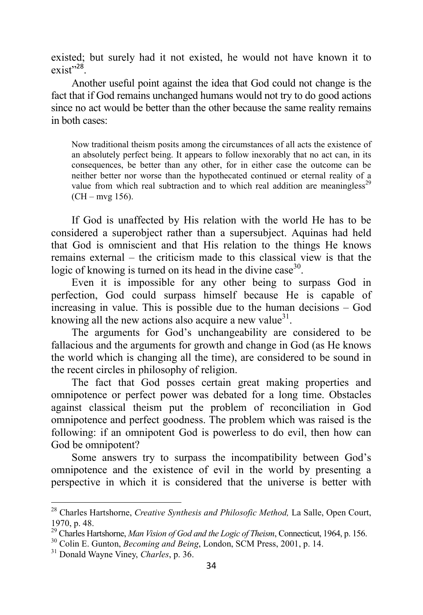existed; but surely had it not existed, he would not have known it to  $exist$ <sup>28</sup>.

Another useful point against the idea that God could not change is the fact that if God remains unchanged humans would not try to do good actions since no act would be better than the other because the same reality remains in both cases:

Now traditional theism posits among the circumstances of all acts the existence of an absolutely perfect being. It appears to follow inexorably that no act can, in its consequences, be better than any other, for in either case the outcome can be neither better nor worse than the hypothecated continued or eternal reality of a value from which real subtraction and to which real addition are meaningless<sup>29</sup>  $(CH - mvg 156)$ .

If God is unaffected by His relation with the world He has to be considered a superobject rather than a supersubject. Aquinas had held that God is omniscient and that His relation to the things He knows remains external – the criticism made to this classical view is that the logic of knowing is turned on its head in the divine case $^{30}$ .

Even it is impossible for any other being to surpass God in perfection, God could surpass himself because He is capable of increasing in value. This is possible due to the human decisions – God knowing all the new actions also acquire a new value<sup>31</sup>.

The arguments for God's unchangeability are considered to be fallacious and the arguments for growth and change in God (as He knows the world which is changing all the time), are considered to be sound in the recent circles in philosophy of religion.

The fact that God posses certain great making properties and omnipotence or perfect power was debated for a long time. Obstacles against classical theism put the problem of reconciliation in God omnipotence and perfect goodness. The problem which was raised is the following: if an omnipotent God is powerless to do evil, then how can God be omnipotent?

Some answers try to surpass the incompatibility between God's omnipotence and the existence of evil in the world by presenting a perspective in which it is considered that the universe is better with

 $\overline{a}$ 

<sup>28</sup> Charles Hartshorne, *Creative Synthesis and Philosofic Method,* La Salle, Open Court, 1970, p. 48.

<sup>29</sup> Charles Hartshorne, *Man Vision of God and the Logic of Theism*, Connecticut, 1964, p. 156.

<sup>30</sup> Colin E. Gunton, *Becoming and Being*, London, SCM Press, 2001, p. 14.

<sup>31</sup> Donald Wayne Viney, *Charles*, p. 36.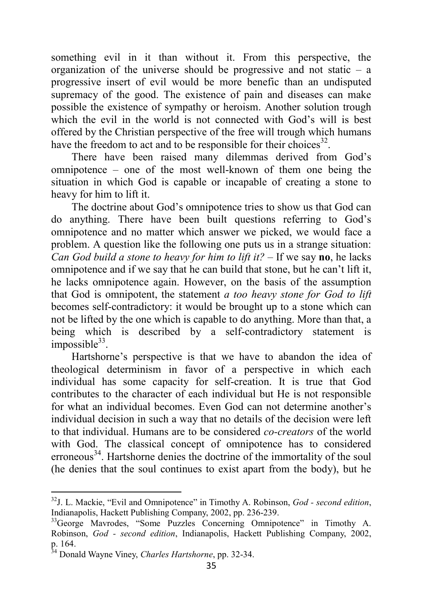something evil in it than without it. From this perspective, the organization of the universe should be progressive and not static  $-$  a progressive insert of evil would be more benefic than an undisputed supremacy of the good. The existence of pain and diseases can make possible the existence of sympathy or heroism. Another solution trough which the evil in the world is not connected with God's will is best offered by the Christian perspective of the free will trough which humans have the freedom to act and to be responsible for their choices $32$ .

There have been raised many dilemmas derived from God's omnipotence – one of the most well-known of them one being the situation in which God is capable or incapable of creating a stone to heavy for him to lift it.

The doctrine about God's omnipotence tries to show us that God can do anything. There have been built questions referring to God's omnipotence and no matter which answer we picked, we would face a problem. A question like the following one puts us in a strange situation: *Can God build a stone to heavy for him to lift it?* – If we say **no**, he lacks omnipotence and if we say that he can build that stone, but he can't lift it, he lacks omnipotence again. However, on the basis of the assumption that God is omnipotent, the statement *a too heavy stone for God to lift*  becomes self-contradictory: it would be brought up to a stone which can not be lifted by the one which is capable to do anything. More than that, a being which is described by a self-contradictory statement is  $impossible^{33}$ .

Hartshorne's perspective is that we have to abandon the idea of theological determinism in favor of a perspective in which each individual has some capacity for self-creation. It is true that God contributes to the character of each individual but He is not responsible for what an individual becomes. Even God can not determine another's individual decision in such a way that no details of the decision were left to that individual. Humans are to be considered *co-creators* of the world with God. The classical concept of omnipotence has to considered erroneous<sup>34</sup>. Hartshorne denies the doctrine of the immortality of the soul (he denies that the soul continues to exist apart from the body), but he

 $\overline{\phantom{0}}$ 

<sup>32</sup>J. L. Mackie, "Evil and Omnipotence" in Timothy A. Robinson, *God - second edition*, Indianapolis, Hackett Publishing Company, 2002, pp. 236-239.

<sup>&</sup>lt;sup>33</sup>George Mavrodes, "Some Puzzles Concerning Omnipotence" in Timothy A. Robinson, *God - second edition*, Indianapolis, Hackett Publishing Company, 2002, p. 164.

<sup>34</sup> Donald Wayne Viney, *Charles Hartshorne*, pp. 32-34.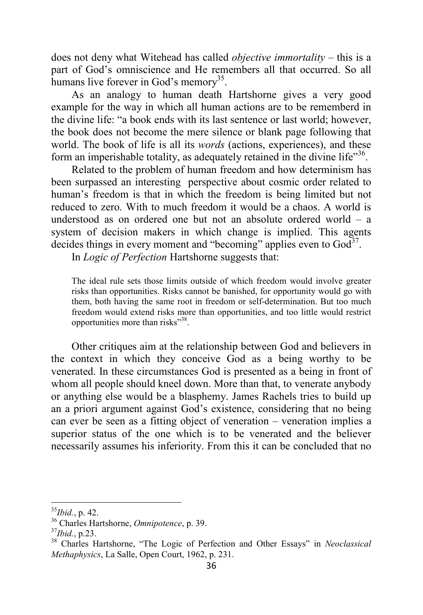does not deny what Witehead has called *objective immortality* – this is a part of God's omniscience and He remembers all that occurred. So all humans live forever in God's memory<sup>35</sup>.

As an analogy to human death Hartshorne gives a very good example for the way in which all human actions are to be rememberd in the divine life: "a book ends with its last sentence or last world; however, the book does not become the mere silence or blank page following that world. The book of life is all its *words* (actions, experiences), and these form an imperishable totality, as adequately retained in the divine life $^{356}$ .

Related to the problem of human freedom and how determinism has been surpassed an interesting perspective about cosmic order related to human's freedom is that in which the freedom is being limited but not reduced to zero. With to much freedom it would be a chaos. A world is understood as on ordered one but not an absolute ordered world – a system of decision makers in which change is implied. This agents decides things in every moment and "becoming" applies even to  $God^{37}$ .

In *Logic of Perfection* Hartshorne suggests that:

The ideal rule sets those limits outside of which freedom would involve greater risks than opportunities. Risks cannot be banished, for opportunity would go with them, both having the same root in freedom or self-determination. But too much freedom would extend risks more than opportunities, and too little would restrict opportunities more than risks"<sup>38</sup>.

Other critiques aim at the relationship between God and believers in the context in which they conceive God as a being worthy to be venerated. In these circumstances God is presented as a being in front of whom all people should kneel down. More than that, to venerate anybody or anything else would be a blasphemy. James Rachels tries to build up an a priori argument against God's existence, considering that no being can ever be seen as a fitting object of veneration – veneration implies a superior status of the one which is to be venerated and the believer necessarily assumes his inferiority. From this it can be concluded that no

 $\overline{a}$ 

<sup>35</sup>*Ibid.*, p. 42.

<sup>36</sup> Charles Hartshorne, *Omnipotence*, p. 39.

<sup>37</sup>*Ibid.*, p.23.

<sup>38</sup> Charles Hartshorne, "The Logic of Perfection and Other Essays" in *Neoclassical Methaphysics*, La Salle, Open Court, 1962, p. 231.